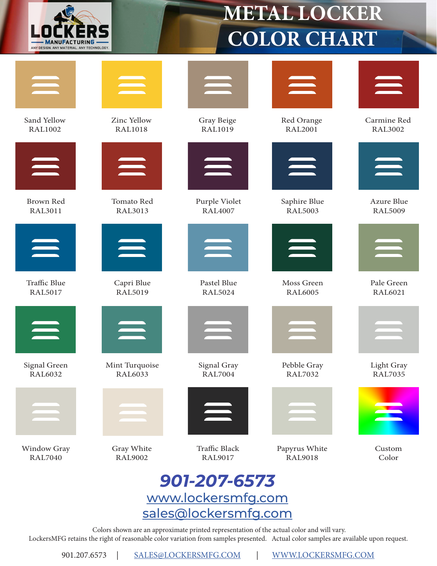

## **METAL LOCKER COLOR CHART**



Sand Yellow RAL1002



Brown Red RAL3011



Traffic Blue RAL5017



Signal Green RAL6032



Window Gray RAL7040



Zinc Yellow RAL1018



Tomato Red RAL3013



Capri Blue RAL5019



Mint Turquoise RAL6033



Gray White RAL9002



Gray Beige RAL1019



Purple Violet RAL4007



Pastel Blue RAL5024



Signal Gray RAL7004



Traffic Black RAL9017



Red Orange RAL2001



Saphire Blue RAL5003



Moss Green RAL6005



Pebble Gray RAL7032



Papyrus White RAL9018



Carmine Red RAL3002



Azure Blue RAL5009



Pale Green RAL6021



Light Gray RAL7035



Custom Color

## *901-207-6573* [www.lockersmfg.com](http://www.lockersmfg.com ) [sales@lockersmfg.com](http://www.LOCKERSMFG.COM/contact)

 Colors shown are an approximate printed representation of the actual color and will vary. LockersMFG retains the right of reasonable color variation from samples presented. Actual color samples are available upon request.

901.207.6573 | [SALES@LOCKERSMFG.COM](http://www.LOCKERSMFG.COM/contact) | [WWW.LOCKERSMFG.COM](http://WWW.LOCKERSMFG.COM)